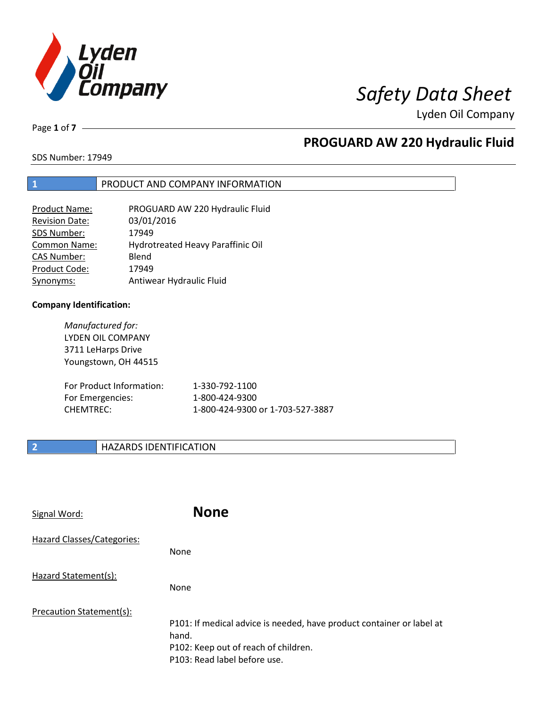

Page **1** of **7**

# **PROGUARD AW 220 Hydraulic Fluid**

SDS Number: 17949

### **1** PRODUCT AND COMPANY INFORMATION

| <b>Product Name:</b>  | PROGUARD AW 220 Hydraulic Fluid   |
|-----------------------|-----------------------------------|
| <b>Revision Date:</b> | 03/01/2016                        |
| SDS Number:           | 17949                             |
| <b>Common Name:</b>   | Hydrotreated Heavy Paraffinic Oil |
| CAS Number:           | Blend                             |
| Product Code:         | 17949                             |
| Synonyms:             | Antiwear Hydraulic Fluid          |

#### **Company Identification:**

*Manufactured for:* LYDEN OIL COMPANY 3711 LeHarps Drive Youngstown, OH 44515

| For Product Information: | 1-330-792-1100                   |
|--------------------------|----------------------------------|
| For Emergencies:         | 1-800-424-9300                   |
| CHEMTREC:                | 1-800-424-9300 or 1-703-527-3887 |

### **2 HAZARDS IDENTIFICATION**

| Signal Word:               | <b>None</b>                                                                                                                                            |
|----------------------------|--------------------------------------------------------------------------------------------------------------------------------------------------------|
| Hazard Classes/Categories: | <b>None</b>                                                                                                                                            |
| Hazard Statement(s):       | <b>None</b>                                                                                                                                            |
| Precaution Statement(s):   | P101: If medical advice is needed, have product container or label at<br>hand.<br>P102: Keep out of reach of children.<br>P103: Read label before use. |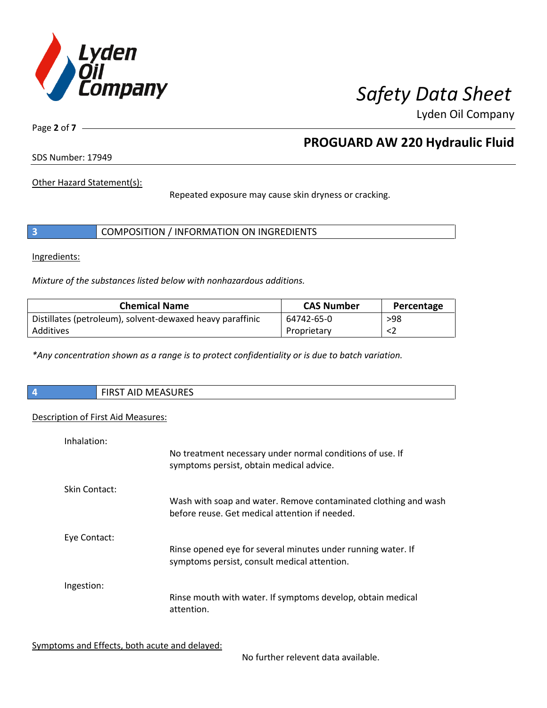

Page **2** of **7**

# **PROGUARD AW 220 Hydraulic Fluid**

SDS Number: 17949

Other Hazard Statement(s):

Repeated exposure may cause skin dryness or cracking.

|  | COMPOSITION / INFORMATION ON INGREDIENTS |  |
|--|------------------------------------------|--|
|--|------------------------------------------|--|

Ingredients:

*Mixture of the substances listed below with nonhazardous additions.*

| <b>Chemical Name</b>                                      | <b>CAS Number</b> | Percentage |
|-----------------------------------------------------------|-------------------|------------|
| Distillates (petroleum), solvent-dewaxed heavy paraffinic | 64742-65-0        | >98        |
| Additives                                                 | Proprietary       |            |

*\*Any concentration shown as a range is to protect confidentiality or is due to batch variation.*

| $\overline{4}$ | <b>AACACURECT</b><br>$\sim$ close $\sim$<br>T AID MEASURES<br>כחו |
|----------------|-------------------------------------------------------------------|
|                |                                                                   |

### Description of First Aid Measures:

| Inhalation:   | No treatment necessary under normal conditions of use. If<br>symptoms persist, obtain medical advice.             |
|---------------|-------------------------------------------------------------------------------------------------------------------|
| Skin Contact: | Wash with soap and water. Remove contaminated clothing and wash<br>before reuse. Get medical attention if needed. |
| Eye Contact:  | Rinse opened eye for several minutes under running water. If<br>symptoms persist, consult medical attention.      |
| Ingestion:    | Rinse mouth with water. If symptoms develop, obtain medical<br>attention.                                         |

Symptoms and Effects, both acute and delayed:

No further relevent data available.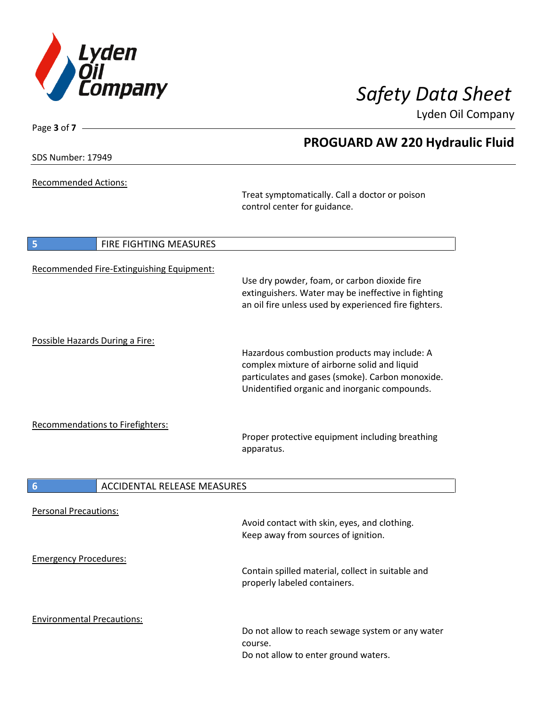

**PROGUARD AW 220 Hydraulic Fluid**

Lyden Oil Company

SDS Number: 17949

Page **3** of **7**

Recommended Actions:

Treat symptomatically. Call a doctor or poison control center for guidance.

| 5<br>FIRE FIGHTING MEASURES               |                                                                                                                                                                                                   |
|-------------------------------------------|---------------------------------------------------------------------------------------------------------------------------------------------------------------------------------------------------|
| Recommended Fire-Extinguishing Equipment: | Use dry powder, foam, or carbon dioxide fire<br>extinguishers. Water may be ineffective in fighting<br>an oil fire unless used by experienced fire fighters.                                      |
| Possible Hazards During a Fire:           | Hazardous combustion products may include: A<br>complex mixture of airborne solid and liquid<br>particulates and gases (smoke). Carbon monoxide.<br>Unidentified organic and inorganic compounds. |
| <b>Recommendations to Firefighters:</b>   | Proper protective equipment including breathing<br>apparatus.                                                                                                                                     |
| 6<br><b>ACCIDENTAL RELEASE MEASURES</b>   |                                                                                                                                                                                                   |
| <b>Personal Precautions:</b>              | Avoid contact with skin, eyes, and clothing.<br>Keep away from sources of ignition.                                                                                                               |
| <b>Emergency Procedures:</b>              | Contain spilled material, collect in suitable and<br>properly labeled containers.                                                                                                                 |
| <b>Environmental Precautions:</b>         | Do not allow to reach sewage system or any water<br>course.<br>Do not allow to enter ground waters.                                                                                               |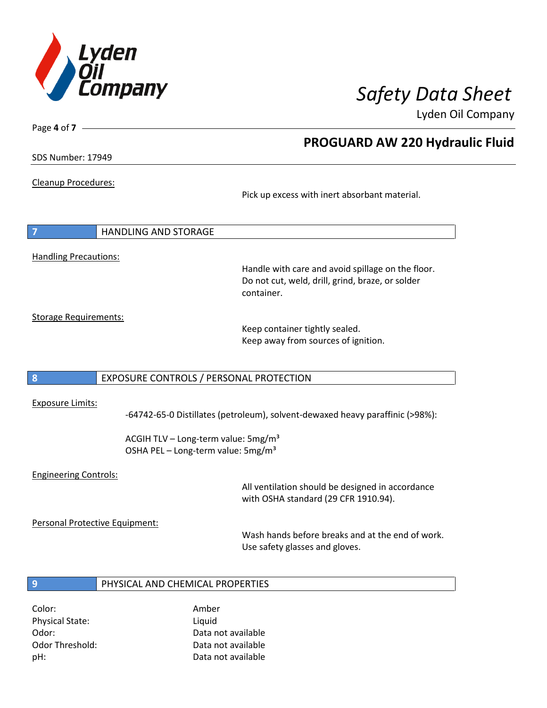

Page **4** of **7**

## **PROGUARD AW 220 Hydraulic Fluid**

SDS Number: 17949

Cleanup Procedures:

Pick up excess with inert absorbant material.

| $\overline{7}$ | <b>HANDLING AND STORAGE</b>  |  |
|----------------|------------------------------|--|
|                |                              |  |
|                | <b>Handling Precautions:</b> |  |

Handle with care and avoid spillage on the floor. Do not cut, weld, drill, grind, braze, or solder container.

Storage Requirements:

Keep container tightly sealed. Keep away from sources of ignition.

### **8** EXPOSURE CONTROLS / PERSONAL PROTECTION

#### Exposure Limits:

-64742-65-0 Distillates (petroleum), solvent-dewaxed heavy paraffinic (>98%):

ACGIH TLV – Long-term value:  $5mg/m<sup>3</sup>$ OSHA PEL - Long-term value: 5mg/m<sup>3</sup>

### Engineering Controls:

All ventilation should be designed in accordance with OSHA standard (29 CFR 1910.94).

Personal Protective Equipment:

Wash hands before breaks and at the end of work. Use safety glasses and gloves.

### **9** PHYSICAL AND CHEMICAL PROPERTIES

Color: Amber Physical State: Liquid

Odor: Data not available Odor Threshold: Data not available pH: Data not available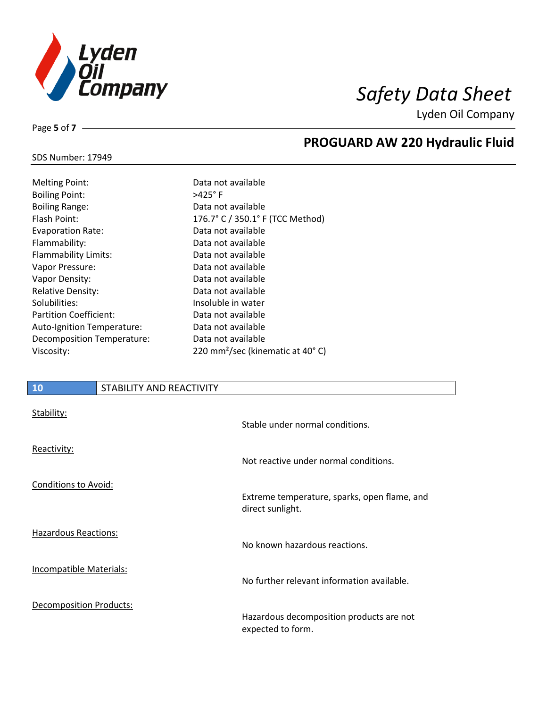

**PROGUARD AW 220 Hydraulic Fluid**

Lyden Oil Company

### SDS Number: 17949

Page **5** of **7**

| <b>Melting Point:</b>         | Data not available                           |
|-------------------------------|----------------------------------------------|
| <b>Boiling Point:</b>         | $>425^\circ$ F                               |
| <b>Boiling Range:</b>         | Data not available                           |
| Flash Point:                  | 176.7° C / 350.1° F (TCC Method)             |
| <b>Evaporation Rate:</b>      | Data not available                           |
| Flammability:                 | Data not available                           |
| <b>Flammability Limits:</b>   | Data not available                           |
| Vapor Pressure:               | Data not available                           |
| Vapor Density:                | Data not available                           |
| <b>Relative Density:</b>      | Data not available                           |
| Solubilities:                 | Insoluble in water                           |
| <b>Partition Coefficient:</b> | Data not available                           |
| Auto-Ignition Temperature:    | Data not available                           |
| Decomposition Temperature:    | Data not available                           |
| Viscosity:                    | 220 mm <sup>2</sup> /sec (kinematic at 40°C) |

### **10** STABILITY AND REACTIVITY

| Stability:                     | Stable under normal conditions.                                  |
|--------------------------------|------------------------------------------------------------------|
| Reactivity:                    | Not reactive under normal conditions.                            |
| <b>Conditions to Avoid:</b>    | Extreme temperature, sparks, open flame, and<br>direct sunlight. |
| <b>Hazardous Reactions:</b>    | No known hazardous reactions.                                    |
| <b>Incompatible Materials:</b> | No further relevant information available.                       |
| <b>Decomposition Products:</b> | Hazardous decomposition products are not<br>expected to form.    |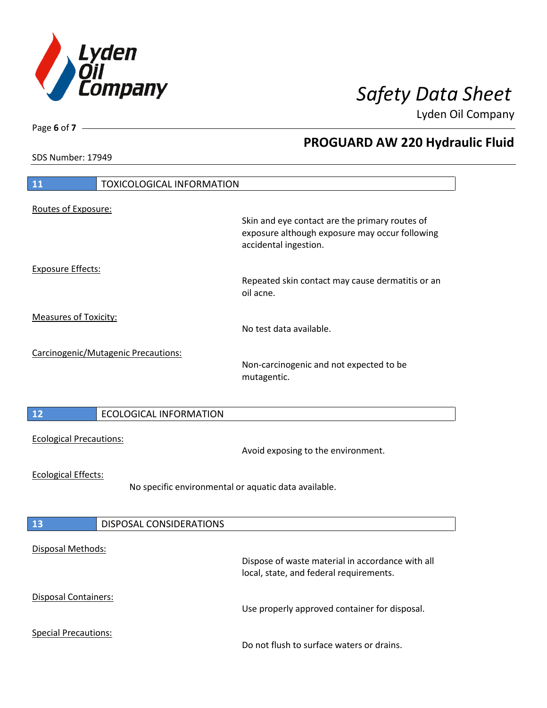

**PROGUARD AW 220 Hydraulic Fluid**

Lyden Oil Company

SDS Number: 17949

# **11** TOXICOLOGICAL INFORMATION Routes of Exposure: Skin and eye contact are the primary routes of exposure although exposure may occur following accidental ingestion. Exposure Effects: Repeated skin contact may cause dermatitis or an oil acne. Measures of Toxicity: No test data available. Carcinogenic/Mutagenic Precautions: Non-carcinogenic and not expected to be mutagentic. **12** ECOLOGICAL INFORMATION Ecological Precautions: Avoid exposing to the environment. Ecological Effects: No specific environmental or aquatic data available. **13** DISPOSAL CONSIDERATIONS Disposal Methods: Dispose of waste material in accordance with all local, state, and federal requirements. Disposal Containers: Use properly approved container for disposal. Special Precautions: Do not flush to surface waters or drains.

Page **6** of **7**